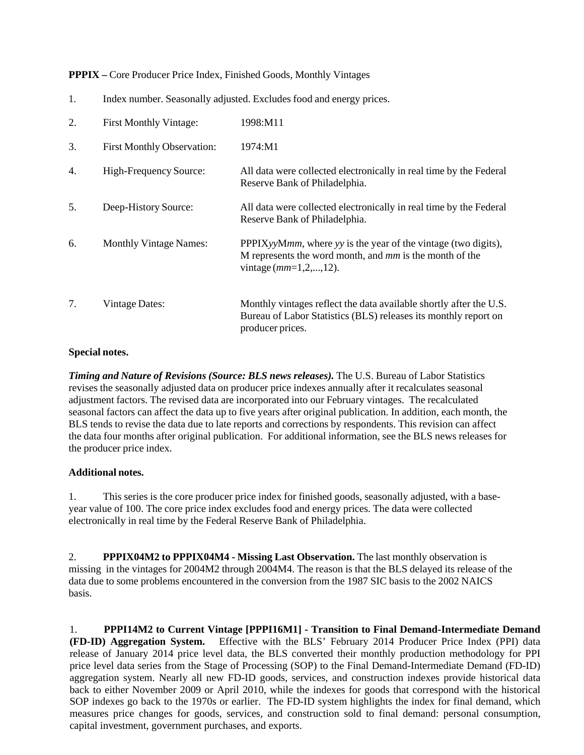**PPPIX –** Core Producer Price Index, Finished Goods, Monthly Vintages

| 2. | First Monthly Vintage:            | 1998:M11                                                                                                                                                  |
|----|-----------------------------------|-----------------------------------------------------------------------------------------------------------------------------------------------------------|
| 3. | <b>First Monthly Observation:</b> | 1974:M1                                                                                                                                                   |
| 4. | High-Frequency Source:            | All data were collected electronically in real time by the Federal<br>Reserve Bank of Philadelphia.                                                       |
| 5. | Deep-History Source:              | All data were collected electronically in real time by the Federal<br>Reserve Bank of Philadelphia.                                                       |
| 6. | <b>Monthly Vintage Names:</b>     | PPPIXyyMmm, where yy is the year of the vintage (two digits),<br>M represents the word month, and mm is the month of the<br>vintage $(mm=1,2,,12)$ .      |
| 7. | <b>Vintage Dates:</b>             | Monthly vintages reflect the data available shortly after the U.S.<br>Bureau of Labor Statistics (BLS) releases its monthly report on<br>producer prices. |

## 1. Index number. Seasonally adjusted. Excludes food and energy prices.

## **Special notes.**

*Timing and Nature of Revisions (Source: BLS news releases).* The U.S. Bureau of Labor Statistics revises the seasonally adjusted data on producer price indexes annually after it recalculates seasonal adjustment factors. The revised data are incorporated into our February vintages. The recalculated seasonal factors can affect the data up to five years after original publication. In addition, each month, the BLS tends to revise the data due to late reports and corrections by respondents. This revision can affect the data four months after original publication. For additional information, see the BLS news releases for the producer price index.

## **Additional notes.**

1. This series is the core producer price index for finished goods, seasonally adjusted, with a baseyear value of 100. The core price index excludes food and energy prices. The data were collected electronically in real time by the Federal Reserve Bank of Philadelphia.

2. **PPPIX04M2 to PPPIX04M4 - Missing Last Observation.** The last monthly observation is missing in the vintages for 2004M2 through 2004M4. The reason is that the BLS delayed its release of the data due to some problems encountered in the conversion from the 1987 SIC basis to the 2002 NAICS basis.

1. **PPPI14M2 to Current Vintage [PPPI16M1] - Transition to Final Demand-Intermediate Demand (FD-ID) Aggregation System.** Effective with the BLS' February 2014 Producer Price Index (PPI) data release of January 2014 price level data, the BLS converted their monthly production methodology for PPI price level data series from the Stage of Processing (SOP) to the Final Demand-Intermediate Demand (FD-ID) aggregation system. Nearly all new FD-ID goods, services, and construction indexes provide historical data back to either November 2009 or April 2010, while the indexes for goods that correspond with the historical SOP indexes go back to the 1970s or earlier. The FD-ID system highlights the index for final demand, which measures price changes for goods, services, and construction sold to final demand: personal consumption, capital investment, government purchases, and exports.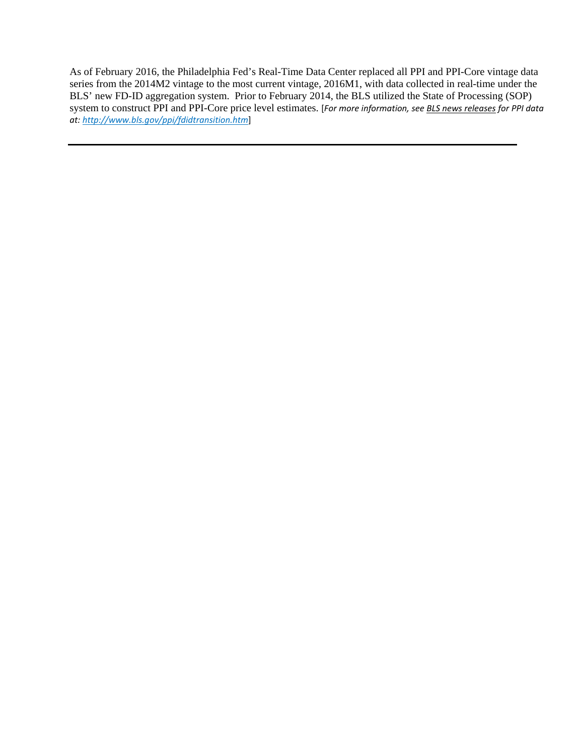As of February 2016, the Philadelphia Fed's Real-Time Data Center replaced all PPI and PPI-Core vintage data series from the 2014M2 vintage to the most current vintage, 2016M1, with data collected in real-time under the BLS' new FD-ID aggregation system. Prior to February 2014, the BLS utilized the State of Processing (SOP) system to construct PPI and PPI-Core price level estimates. [*For more information, se[e BLS news releases](http://www.bls.gov/ppi/fdidtransition.htm) for PPI data at: <http://www.bls.gov/ppi/fdidtransition.htm>*]